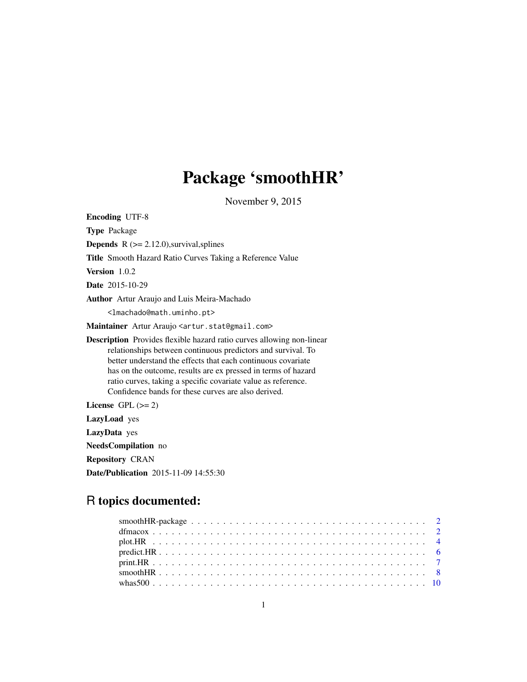# Package 'smoothHR'

November 9, 2015

| <b>Encoding UTF-8</b>                                                                                                                                                                                                                                                                                                                                                                                 |
|-------------------------------------------------------------------------------------------------------------------------------------------------------------------------------------------------------------------------------------------------------------------------------------------------------------------------------------------------------------------------------------------------------|
| <b>Type Package</b>                                                                                                                                                                                                                                                                                                                                                                                   |
| <b>Depends</b> $R$ ( $>= 2.12.0$ ), survival, splines                                                                                                                                                                                                                                                                                                                                                 |
| <b>Title</b> Smooth Hazard Ratio Curves Taking a Reference Value                                                                                                                                                                                                                                                                                                                                      |
| Version 1.0.2                                                                                                                                                                                                                                                                                                                                                                                         |
| Date 2015-10-29                                                                                                                                                                                                                                                                                                                                                                                       |
| Author Artur Araujo and Luis Meira-Machado                                                                                                                                                                                                                                                                                                                                                            |
| <lmachado@math.uminho.pt></lmachado@math.uminho.pt>                                                                                                                                                                                                                                                                                                                                                   |
| Maintainer Artur Araujo <artur.stat@gmail.com></artur.stat@gmail.com>                                                                                                                                                                                                                                                                                                                                 |
| <b>Description</b> Provides flexible hazard ratio curves allowing non-linear<br>relationships between continuous predictors and survival. To<br>better understand the effects that each continuous covariate<br>has on the outcome, results are ex pressed in terms of hazard<br>ratio curves, taking a specific covariate value as reference.<br>Confidence bands for these curves are also derived. |
| License GPL $(>= 2)$                                                                                                                                                                                                                                                                                                                                                                                  |
| <b>LazyLoad</b> yes                                                                                                                                                                                                                                                                                                                                                                                   |
| LazyData yes                                                                                                                                                                                                                                                                                                                                                                                          |
| NeedsCompilation no                                                                                                                                                                                                                                                                                                                                                                                   |
| <b>Repository CRAN</b>                                                                                                                                                                                                                                                                                                                                                                                |
| <b>Date/Publication</b> 2015-11-09 14:55:30                                                                                                                                                                                                                                                                                                                                                           |

### R topics documented: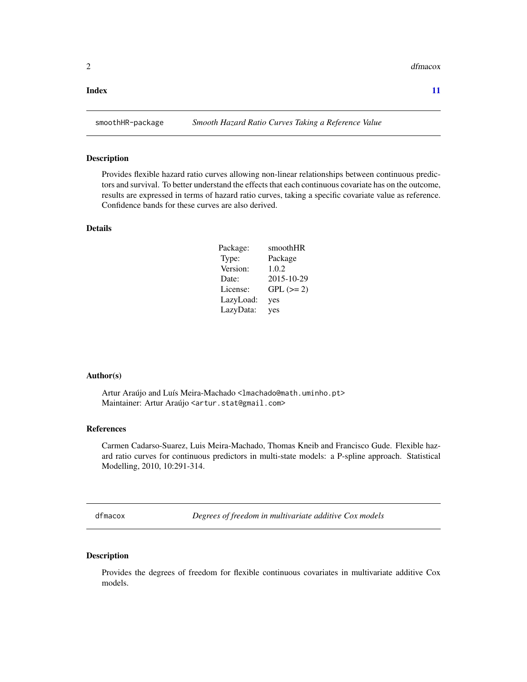#### <span id="page-1-0"></span>**Index** [11](#page-10-0)

#### Description

Provides flexible hazard ratio curves allowing non-linear relationships between continuous predictors and survival. To better understand the effects that each continuous covariate has on the outcome, results are expressed in terms of hazard ratio curves, taking a specific covariate value as reference. Confidence bands for these curves are also derived.

#### Details

| Package:  | smoothHR   |
|-----------|------------|
| Type:     | Package    |
| Version:  | 1.0.2      |
| Date:     | 2015-10-29 |
| License:  | $GPL (=2)$ |
| LazyLoad: | yes        |
| LazyData: | yes        |

#### Author(s)

Artur Araújo and Luís Meira-Machado <lmachado@math.uminho.pt> Maintainer: Artur Araújo <artur.stat@gmail.com>

#### References

Carmen Cadarso-Suarez, Luis Meira-Machado, Thomas Kneib and Francisco Gude. Flexible hazard ratio curves for continuous predictors in multi-state models: a P-spline approach. Statistical Modelling, 2010, 10:291-314.

dfmacox *Degrees of freedom in multivariate additive Cox models*

#### Description

Provides the degrees of freedom for flexible continuous covariates in multivariate additive Cox models.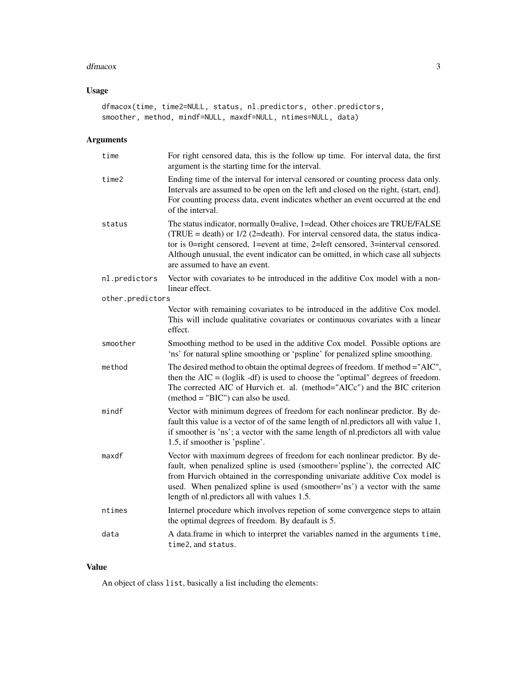#### dfmacox 3

#### Usage

```
dfmacox(time, time2=NULL, status, nl.predictors, other.predictors,
smoother, method, mindf=NULL, maxdf=NULL, ntimes=NULL, data)
```
#### Arguments

| time             | For right censored data, this is the follow up time. For interval data, the first<br>argument is the starting time for the interval.                                                                                                                                                                                                                                      |
|------------------|---------------------------------------------------------------------------------------------------------------------------------------------------------------------------------------------------------------------------------------------------------------------------------------------------------------------------------------------------------------------------|
| time2            | Ending time of the interval for interval censored or counting process data only.<br>Intervals are assumed to be open on the left and closed on the right, (start, end).<br>For counting process data, event indicates whether an event occurred at the end<br>of the interval.                                                                                            |
| status           | The status indicator, normally 0=alive, 1=dead. Other choices are TRUE/FALSE<br>(TRUE = death) or $1/2$ (2=death). For interval censored data, the status indica-<br>tor is 0=right censored, 1=event at time, 2=left censored, 3=interval censored.<br>Although unusual, the event indicator can be omitted, in which case all subjects<br>are assumed to have an event. |
| nl.predictors    | Vector with covariates to be introduced in the additive Cox model with a non-<br>linear effect.                                                                                                                                                                                                                                                                           |
| other.predictors |                                                                                                                                                                                                                                                                                                                                                                           |
|                  | Vector with remaining covariates to be introduced in the additive Cox model.<br>This will include qualitative covariates or continuous covariates with a linear<br>effect.                                                                                                                                                                                                |
| smoother         | Smoothing method to be used in the additive Cox model. Possible options are<br>'ns' for natural spline smoothing or 'pspline' for penalized spline smoothing.                                                                                                                                                                                                             |
| method           | The desired method to obtain the optimal degrees of freedom. If method ="AIC",<br>then the $AIC = (loglik - df)$ is used to choose the "optimal" degrees of freedom.<br>The corrected AIC of Hurvich et. al. (method="AICc") and the BIC criterion<br>$(method = "BIC")$ can also be used.                                                                                |
| mindf            | Vector with minimum degrees of freedom for each nonlinear predictor. By de-<br>fault this value is a vector of of the same length of nl.predictors all with value 1,<br>if smoother is 'ns'; a vector with the same length of nl.predictors all with value<br>1.5, if smoother is 'pspline'.                                                                              |
| maxdf            | Vector with maximum degrees of freedom for each nonlinear predictor. By de-<br>fault, when penalized spline is used (smoother='pspline'), the corrected AIC<br>from Hurvich obtained in the corresponding univariate additive Cox model is<br>used. When penalized spline is used (smoother='ns') a vector with the same<br>length of nl.predictors all with values 1.5.  |
| ntimes           | Internel procedure which involves repetion of some convergence steps to attain<br>the optimal degrees of freedom. By deafault is 5.                                                                                                                                                                                                                                       |
| data             | A data.frame in which to interpret the variables named in the arguments time,<br>time2, and status.                                                                                                                                                                                                                                                                       |

#### Value

An object of class list, basically a list including the elements: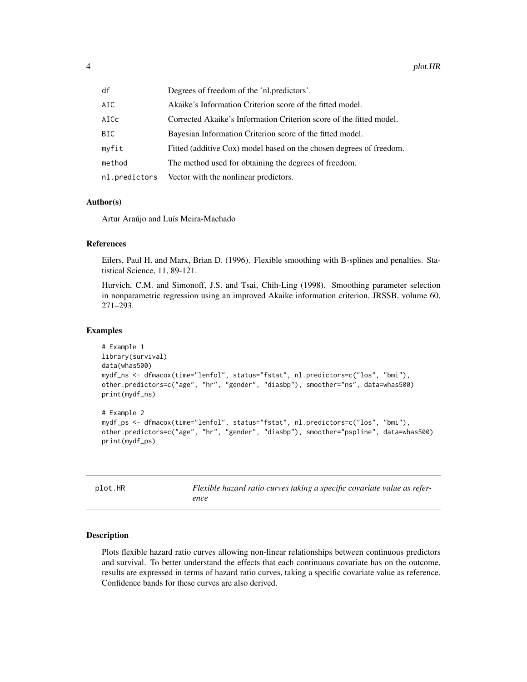<span id="page-3-0"></span>

| df            | Degrees of freedom of the 'nl.predictors'.                          |
|---------------|---------------------------------------------------------------------|
| AIC           | Akaike's Information Criterion score of the fitted model.           |
| AICc          | Corrected Akaike's Information Criterion score of the fitted model. |
| BIC           | Bayesian Information Criterion score of the fitted model.           |
| myfit         | Fitted (additive Cox) model based on the chosen degrees of freedom. |
| method        | The method used for obtaining the degrees of freedom.               |
| nl.predictors | Vector with the nonlinear predictors.                               |

#### Author(s)

Artur Araújo and Luís Meira-Machado

#### References

Eilers, Paul H. and Marx, Brian D. (1996). Flexible smoothing with B-splines and penalties. Statistical Science, 11, 89-121.

Hurvich, C.M. and Simonoff, J.S. and Tsai, Chih-Ling (1998). Smoothing parameter selection in nonparametric regression using an improved Akaike information criterion, JRSSB, volume 60, 271–293.

#### Examples

```
# Example 1
library(survival)
data(whas500)
mydf_ns <- dfmacox(time="lenfol", status="fstat", nl.predictors=c("los", "bmi"),
other.predictors=c("age", "hr", "gender", "diasbp"), smoother="ns", data=whas500)
print(mydf_ns)
# Example 2
mydf_ps <- dfmacox(time="lenfol", status="fstat", nl.predictors=c("los", "bmi"),
other.predictors=c("age", "hr", "gender", "diasbp"), smoother="pspline", data=whas500)
print(mydf_ps)
```

| plot.HR | Flexible hazard ratio curves taking a specific covariate value as refer- |
|---------|--------------------------------------------------------------------------|
|         | ence                                                                     |

#### **Description**

Plots flexible hazard ratio curves allowing non-linear relationships between continuous predictors and survival. To better understand the effects that each continuous covariate has on the outcome, results are expressed in terms of hazard ratio curves, taking a specific covariate value as reference. Confidence bands for these curves are also derived.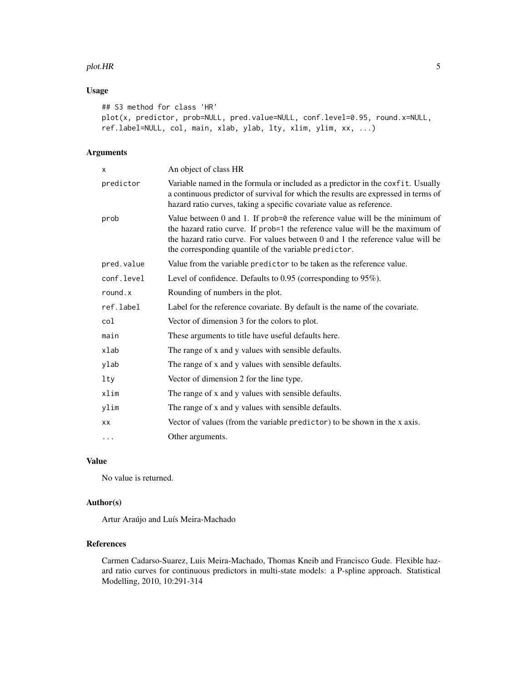#### plot.HR 5

#### Usage

```
## S3 method for class 'HR'
plot(x, predictor, prob=NULL, pred.value=NULL, conf.level=0.95, round.x=NULL,
ref.label=NULL, col, main, xlab, ylab, lty, xlim, ylim, xx, ...)
```
#### Arguments

| x          | An object of class HR                                                                                                                                                                                                                                                                                          |
|------------|----------------------------------------------------------------------------------------------------------------------------------------------------------------------------------------------------------------------------------------------------------------------------------------------------------------|
| predictor  | Variable named in the formula or included as a predictor in the coxfit. Usually<br>a continuous predictor of survival for which the results are expressed in terms of<br>hazard ratio curves, taking a specific covariate value as reference.                                                                  |
| prob       | Value between $0$ and $1$ . If prob= $0$ the reference value will be the minimum of<br>the hazard ratio curve. If prob=1 the reference value will be the maximum of<br>the hazard ratio curve. For values between 0 and 1 the reference value will be<br>the corresponding quantile of the variable predictor. |
| pred.value | Value from the variable predictor to be taken as the reference value.                                                                                                                                                                                                                                          |
| conf.level | Level of confidence. Defaults to $0.95$ (corresponding to $95\%$ ).                                                                                                                                                                                                                                            |
| round.x    | Rounding of numbers in the plot.                                                                                                                                                                                                                                                                               |
| ref.label  | Label for the reference covariate. By default is the name of the covariate.                                                                                                                                                                                                                                    |
| col        | Vector of dimension 3 for the colors to plot.                                                                                                                                                                                                                                                                  |
| main       | These arguments to title have useful defaults here.                                                                                                                                                                                                                                                            |
| xlab       | The range of x and y values with sensible defaults.                                                                                                                                                                                                                                                            |
| ylab       | The range of x and y values with sensible defaults.                                                                                                                                                                                                                                                            |
| lty        | Vector of dimension 2 for the line type.                                                                                                                                                                                                                                                                       |
| xlim       | The range of x and y values with sensible defaults.                                                                                                                                                                                                                                                            |
| ylim       | The range of x and y values with sensible defaults.                                                                                                                                                                                                                                                            |
| XX         | Vector of values (from the variable predictor) to be shown in the x axis.                                                                                                                                                                                                                                      |
| .          | Other arguments.                                                                                                                                                                                                                                                                                               |
|            |                                                                                                                                                                                                                                                                                                                |

#### Value

No value is returned.

### Author(s)

Artur Araújo and Luís Meira-Machado

#### References

Carmen Cadarso-Suarez, Luis Meira-Machado, Thomas Kneib and Francisco Gude. Flexible hazard ratio curves for continuous predictors in multi-state models: a P-spline approach. Statistical Modelling, 2010, 10:291-314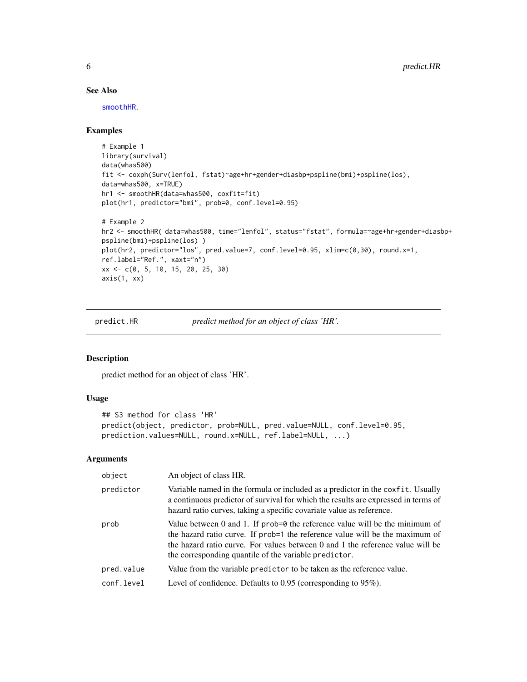#### See Also

[smoothHR](#page-7-1).

#### Examples

```
# Example 1
library(survival)
data(whas500)
fit <- coxph(Surv(lenfol, fstat)~age+hr+gender+diasbp+pspline(bmi)+pspline(los),
data=whas500, x=TRUE)
hr1 <- smoothHR(data=whas500, coxfit=fit)
plot(hr1, predictor="bmi", prob=0, conf.level=0.95)
# Example 2
hr2 <- smoothHR( data=whas500, time="lenfol", status="fstat", formula=~age+hr+gender+diasbp+
pspline(bmi)+pspline(los) )
plot(hr2, predictor="los", pred.value=7, conf.level=0.95, xlim=c(0,30), round.x=1,
ref.label="Ref.", xaxt="n")
xx <- c(0, 5, 10, 15, 20, 25, 30)
axis(1, xx)
```
predict.HR *predict method for an object of class 'HR'.*

#### Description

predict method for an object of class 'HR'.

#### Usage

```
## S3 method for class 'HR'
predict(object, predictor, prob=NULL, pred.value=NULL, conf.level=0.95,
prediction.values=NULL, round.x=NULL, ref.label=NULL, ...)
```
#### Arguments

| object     | An object of class HR.                                                                                                                                                                                                                                                                                         |
|------------|----------------------------------------------------------------------------------------------------------------------------------------------------------------------------------------------------------------------------------------------------------------------------------------------------------------|
| predictor  | Variable named in the formula or included as a predictor in the coxfit. Usually<br>a continuous predictor of survival for which the results are expressed in terms of<br>hazard ratio curves, taking a specific covariate value as reference.                                                                  |
| prob       | Value between $0$ and $1$ . If prob= $0$ the reference value will be the minimum of<br>the hazard ratio curve. If prob=1 the reference value will be the maximum of<br>the hazard ratio curve. For values between 0 and 1 the reference value will be<br>the corresponding quantile of the variable predictor. |
| pred.value | Value from the variable predictor to be taken as the reference value.                                                                                                                                                                                                                                          |
| conf.level | Level of confidence. Defaults to $0.95$ (corresponding to $95\%$ ).                                                                                                                                                                                                                                            |

<span id="page-5-0"></span>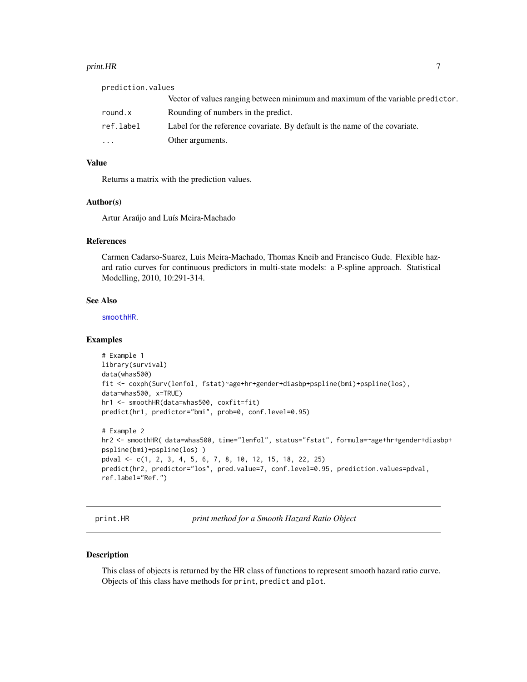#### <span id="page-6-0"></span>print.HR 7

prediction.values Vector of values ranging between minimum and maximum of the variable predictor. round.x Rounding of numbers in the predict. ref.label Label for the reference covariate. By default is the name of the covariate. ... Other arguments.

#### Value

Returns a matrix with the prediction values.

#### Author(s)

Artur Araújo and Luís Meira-Machado

#### References

Carmen Cadarso-Suarez, Luis Meira-Machado, Thomas Kneib and Francisco Gude. Flexible hazard ratio curves for continuous predictors in multi-state models: a P-spline approach. Statistical Modelling, 2010, 10:291-314.

#### See Also

[smoothHR](#page-7-1).

#### Examples

```
# Example 1
library(survival)
data(whas500)
fit <- coxph(Surv(lenfol, fstat)~age+hr+gender+diasbp+pspline(bmi)+pspline(los),
data=whas500, x=TRUE)
hr1 <- smoothHR(data=whas500, coxfit=fit)
predict(hr1, predictor="bmi", prob=0, conf.level=0.95)
# Example 2
hr2 <- smoothHR( data=whas500, time="lenfol", status="fstat", formula=~age+hr+gender+diasbp+
pspline(bmi)+pspline(los) )
```

```
pdval <- c(1, 2, 3, 4, 5, 6, 7, 8, 10, 12, 15, 18, 22, 25)
predict(hr2, predictor="los", pred.value=7, conf.level=0.95, prediction.values=pdval,
ref.label="Ref.")
```
print.HR *print method for a Smooth Hazard Ratio Object*

#### Description

This class of objects is returned by the HR class of functions to represent smooth hazard ratio curve. Objects of this class have methods for print, predict and plot.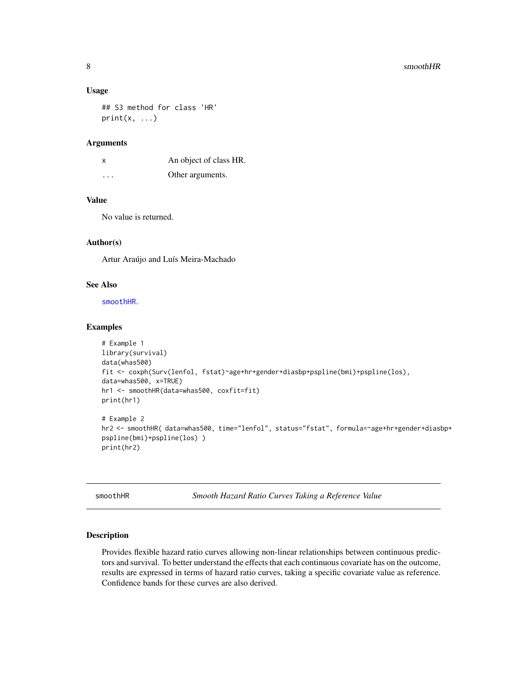#### 8 smoothHR

#### Usage

## S3 method for class 'HR'  $print(x, \ldots)$ 

#### Arguments

| X | An object of class HR. |
|---|------------------------|
| . | Other arguments.       |

#### Value

No value is returned.

#### Author(s)

Artur Araújo and Luís Meira-Machado

#### See Also

[smoothHR](#page-7-1).

#### Examples

```
# Example 1
library(survival)
data(whas500)
fit <- coxph(Surv(lenfol, fstat)~age+hr+gender+diasbp+pspline(bmi)+pspline(los),
data=whas500, x=TRUE)
hr1 <- smoothHR(data=whas500, coxfit=fit)
print(hr1)
# Example 2
hr2 <- smoothHR( data=whas500, time="lenfol", status="fstat", formula=~age+hr+gender+diasbp+
pspline(bmi)+pspline(los) )
print(hr2)
```
<span id="page-7-1"></span>smoothHR *Smooth Hazard Ratio Curves Taking a Reference Value*

#### Description

Provides flexible hazard ratio curves allowing non-linear relationships between continuous predictors and survival. To better understand the effects that each continuous covariate has on the outcome, results are expressed in terms of hazard ratio curves, taking a specific covariate value as reference. Confidence bands for these curves are also derived.

<span id="page-7-0"></span>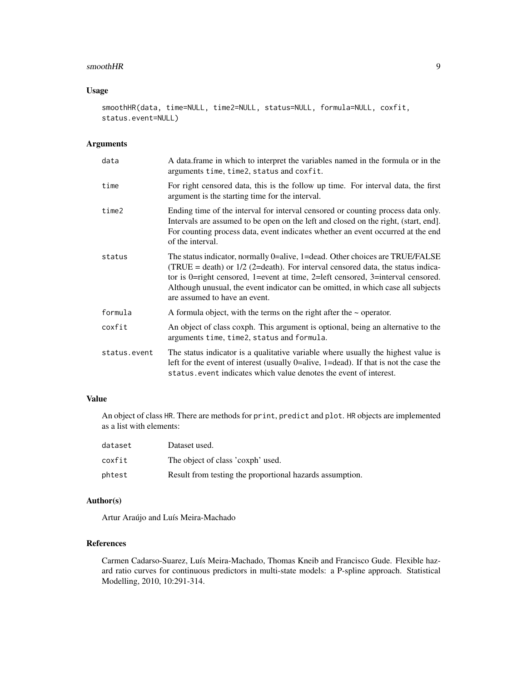#### $\mathbf{s}$ mooth $\mathbf{H}\mathbf{R}$

#### Usage

```
smoothHR(data, time=NULL, time2=NULL, status=NULL, formula=NULL, coxfit,
status.event=NULL)
```
#### Arguments

| data         | A data.frame in which to interpret the variables named in the formula or in the<br>arguments time, time2, status and coxfit.                                                                                                                                                                                                                                              |
|--------------|---------------------------------------------------------------------------------------------------------------------------------------------------------------------------------------------------------------------------------------------------------------------------------------------------------------------------------------------------------------------------|
| time         | For right censored data, this is the follow up time. For interval data, the first<br>argument is the starting time for the interval.                                                                                                                                                                                                                                      |
| time2        | Ending time of the interval for interval censored or counting process data only.<br>Intervals are assumed to be open on the left and closed on the right, (start, end].<br>For counting process data, event indicates whether an event occurred at the end<br>of the interval.                                                                                            |
| status       | The status indicator, normally 0=alive, 1=dead. Other choices are TRUE/FALSE<br>(TRUE = death) or $1/2$ (2=death). For interval censored data, the status indica-<br>tor is 0=right censored, 1=event at time, 2=left censored, 3=interval censored.<br>Although unusual, the event indicator can be omitted, in which case all subjects<br>are assumed to have an event. |
| formula      | A formula object, with the terms on the right after the $\sim$ operator.                                                                                                                                                                                                                                                                                                  |
| coxfit       | An object of class coxph. This argument is optional, being an alternative to the<br>arguments time, time2, status and formula.                                                                                                                                                                                                                                            |
| status.event | The status indicator is a qualitative variable where usually the highest value is<br>left for the event of interest (usually $0$ =alive, 1=dead). If that is not the case the<br>status, event indicates which value denotes the event of interest.                                                                                                                       |

#### Value

An object of class HR. There are methods for print, predict and plot. HR objects are implemented as a list with elements:

| dataset | Dataset used.                                            |
|---------|----------------------------------------------------------|
| coxfit  | The object of class 'coxph' used.                        |
| phtest  | Result from testing the proportional hazards assumption. |

#### Author(s)

Artur Araújo and Luís Meira-Machado

#### References

Carmen Cadarso-Suarez, Luís Meira-Machado, Thomas Kneib and Francisco Gude. Flexible hazard ratio curves for continuous predictors in multi-state models: a P-spline approach. Statistical Modelling, 2010, 10:291-314.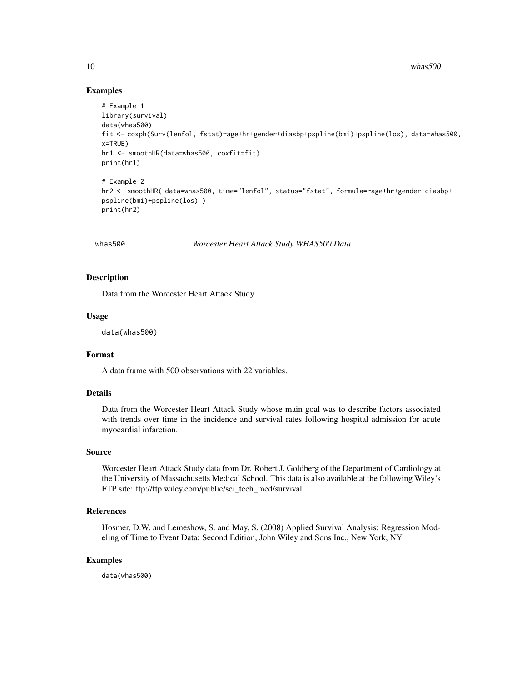10 whas 500

#### Examples

```
# Example 1
library(survival)
data(whas500)
fit <- coxph(Surv(lenfol, fstat)~age+hr+gender+diasbp+pspline(bmi)+pspline(los), data=whas500,
x=TRUE)
hr1 <- smoothHR(data=whas500, coxfit=fit)
print(hr1)
# Example 2
hr2 <- smoothHR( data=whas500, time="lenfol", status="fstat", formula=~age+hr+gender+diasbp+
pspline(bmi)+pspline(los) )
print(hr2)
```
whas500 *Worcester Heart Attack Study WHAS500 Data*

#### Description

Data from the Worcester Heart Attack Study

#### Usage

data(whas500)

#### Format

A data frame with 500 observations with 22 variables.

#### Details

Data from the Worcester Heart Attack Study whose main goal was to describe factors associated with trends over time in the incidence and survival rates following hospital admission for acute myocardial infarction.

#### Source

Worcester Heart Attack Study data from Dr. Robert J. Goldberg of the Department of Cardiology at the University of Massachusetts Medical School. This data is also available at the following Wiley's FTP site: ftp://ftp.wiley.com/public/sci\_tech\_med/survival

#### References

Hosmer, D.W. and Lemeshow, S. and May, S. (2008) Applied Survival Analysis: Regression Modeling of Time to Event Data: Second Edition, John Wiley and Sons Inc., New York, NY

#### Examples

data(whas500)

<span id="page-9-0"></span>